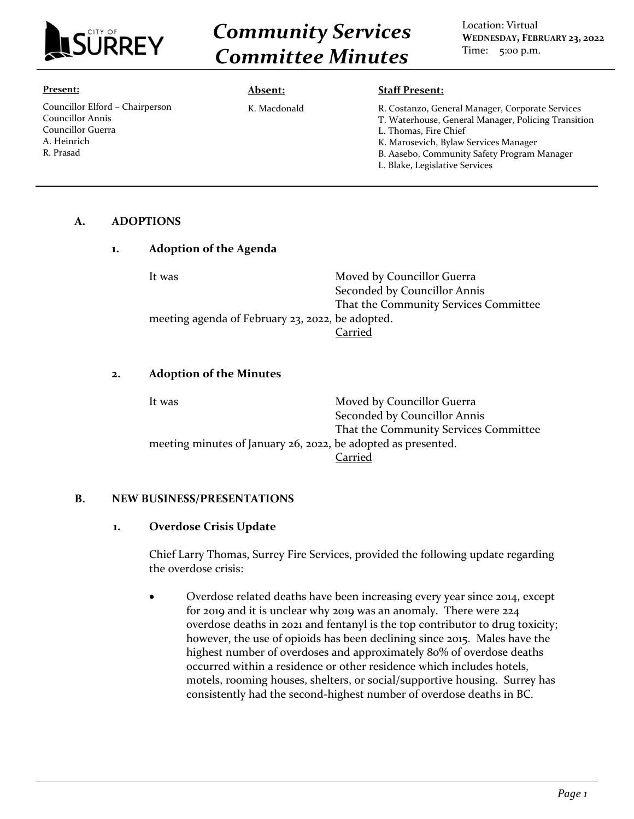

# *Community Services Committee Minutes*

Location: Virtual **WEDNESDAY, FEBRUARY 23, 2022** Time: 5:00 p.m.

#### **Present:**

Councillor Elford – Chairperson Councillor Annis Councillor Guerra A. Heinrich R. Prasad

#### **Absent:**

K. Macdonald

R. Costanzo, General Manager, Corporate Services T. Waterhouse, General Manager, Policing Transition L. Thomas, Fire Chief K. Marosevich, Bylaw Services Manager B. Aasebo, Community Safety Program Manager

**Staff Present:**

L. Blake, Legislative Services

## **A. ADOPTIONS**

| <b>Adoption of the Agenda</b>                    |                                       |
|--------------------------------------------------|---------------------------------------|
| It was                                           | Moved by Councillor Guerra            |
|                                                  | Seconded by Councillor Annis          |
|                                                  | That the Community Services Committee |
| meeting agenda of February 23, 2022, be adopted. |                                       |
|                                                  | Carried                               |

#### **2. Adoption of the Minutes**

| It was                                                        | Moved by Councillor Guerra            |
|---------------------------------------------------------------|---------------------------------------|
|                                                               | Seconded by Councillor Annis          |
|                                                               | That the Community Services Committee |
| meeting minutes of January 26, 2022, be adopted as presented. |                                       |
|                                                               | Carried                               |

#### **B. NEW BUSINESS/PRESENTATIONS**

#### **1. Overdose Crisis Update**

Chief Larry Thomas, Surrey Fire Services, provided the following update regarding the overdose crisis:

• Overdose related deaths have been increasing every year since 2014, except for 2019 and it is unclear why 2019 was an anomaly. There were 224 overdose deaths in 2021 and fentanyl is the top contributor to drug toxicity; however, the use of opioids has been declining since 2015. Males have the highest number of overdoses and approximately 80% of overdose deaths occurred within a residence or other residence which includes hotels, motels, rooming houses, shelters, or social/supportive housing. Surrey has consistently had the second-highest number of overdose deaths in BC.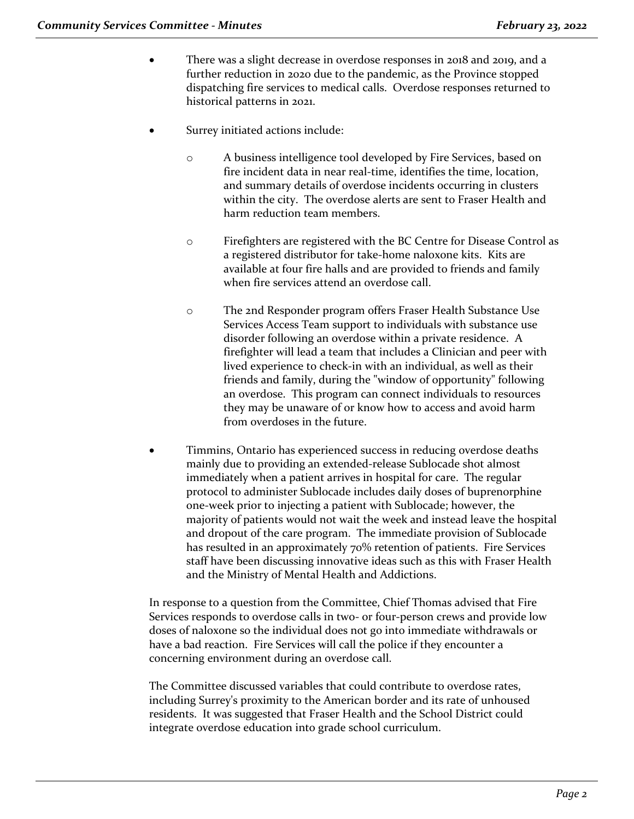- There was a slight decrease in overdose responses in 2018 and 2019, and a further reduction in 2020 due to the pandemic, as the Province stopped dispatching fire services to medical calls. Overdose responses returned to historical patterns in 2021.
- Surrey initiated actions include:
	- o A business intelligence tool developed by Fire Services, based on fire incident data in near real-time, identifies the time, location, and summary details of overdose incidents occurring in clusters within the city. The overdose alerts are sent to Fraser Health and harm reduction team members.
	- o Firefighters are registered with the BC Centre for Disease Control as a registered distributor for take-home naloxone kits. Kits are available at four fire halls and are provided to friends and family when fire services attend an overdose call.
	- o The 2nd Responder program offers Fraser Health Substance Use Services Access Team support to individuals with substance use disorder following an overdose within a private residence. A firefighter will lead a team that includes a Clinician and peer with lived experience to check-in with an individual, as well as their friends and family, during the "window of opportunity" following an overdose. This program can connect individuals to resources they may be unaware of or know how to access and avoid harm from overdoses in the future.
- Timmins, Ontario has experienced success in reducing overdose deaths mainly due to providing an extended-release Sublocade shot almost immediately when a patient arrives in hospital for care. The regular protocol to administer Sublocade includes daily doses of buprenorphine one-week prior to injecting a patient with Sublocade; however, the majority of patients would not wait the week and instead leave the hospital and dropout of the care program. The immediate provision of Sublocade has resulted in an approximately 70% retention of patients. Fire Services staff have been discussing innovative ideas such as this with Fraser Health and the Ministry of Mental Health and Addictions.

In response to a question from the Committee, Chief Thomas advised that Fire Services responds to overdose calls in two- or four-person crews and provide low doses of naloxone so the individual does not go into immediate withdrawals or have a bad reaction. Fire Services will call the police if they encounter a concerning environment during an overdose call.

The Committee discussed variables that could contribute to overdose rates, including Surrey's proximity to the American border and its rate of unhoused residents. It was suggested that Fraser Health and the School District could integrate overdose education into grade school curriculum.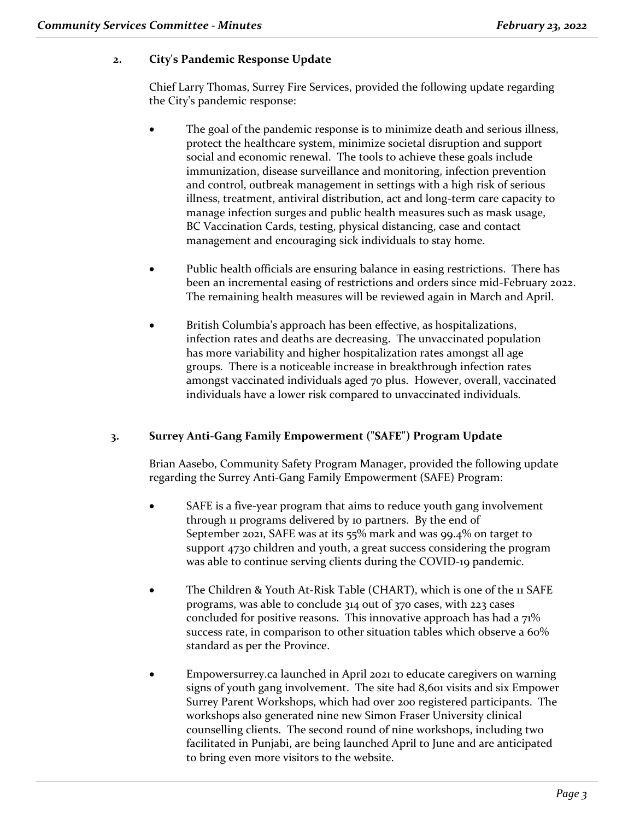## **2. City's Pandemic Response Update**

Chief Larry Thomas, Surrey Fire Services, provided the following update regarding the City's pandemic response:

- The goal of the pandemic response is to minimize death and serious illness, protect the healthcare system, minimize societal disruption and support social and economic renewal. The tools to achieve these goals include immunization, disease surveillance and monitoring, infection prevention and control, outbreak management in settings with a high risk of serious illness, treatment, antiviral distribution, act and long-term care capacity to manage infection surges and public health measures such as mask usage, BC Vaccination Cards, testing, physical distancing, case and contact management and encouraging sick individuals to stay home.
- Public health officials are ensuring balance in easing restrictions. There has been an incremental easing of restrictions and orders since mid-February 2022. The remaining health measures will be reviewed again in March and April.
- British Columbia's approach has been effective, as hospitalizations, infection rates and deaths are decreasing. The unvaccinated population has more variability and higher hospitalization rates amongst all age groups. There is a noticeable increase in breakthrough infection rates amongst vaccinated individuals aged 70 plus. However, overall, vaccinated individuals have a lower risk compared to unvaccinated individuals.

## **3. Surrey Anti-Gang Family Empowerment ("SAFE") Program Update**

Brian Aasebo, Community Safety Program Manager, provided the following update regarding the Surrey Anti-Gang Family Empowerment (SAFE) Program:

- SAFE is a five-year program that aims to reduce youth gang involvement through 11 programs delivered by 10 partners. By the end of September 2021, SAFE was at its 55% mark and was 99.4% on target to support 4730 children and youth, a great success considering the program was able to continue serving clients during the COVID-19 pandemic.
- The Children & Youth At-Risk Table (CHART), which is one of the 11 SAFE programs, was able to conclude 314 out of 370 cases, with 223 cases concluded for positive reasons. This innovative approach has had a 71% success rate, in comparison to other situation tables which observe a 60% standard as per the Province.
- Empowersurrey.ca launched in April 2021 to educate caregivers on warning signs of youth gang involvement. The site had 8,601 visits and six Empower Surrey Parent Workshops, which had over 200 registered participants. The workshops also generated nine new Simon Fraser University clinical counselling clients. The second round of nine workshops, including two facilitated in Punjabi, are being launched April to June and are anticipated to bring even more visitors to the website.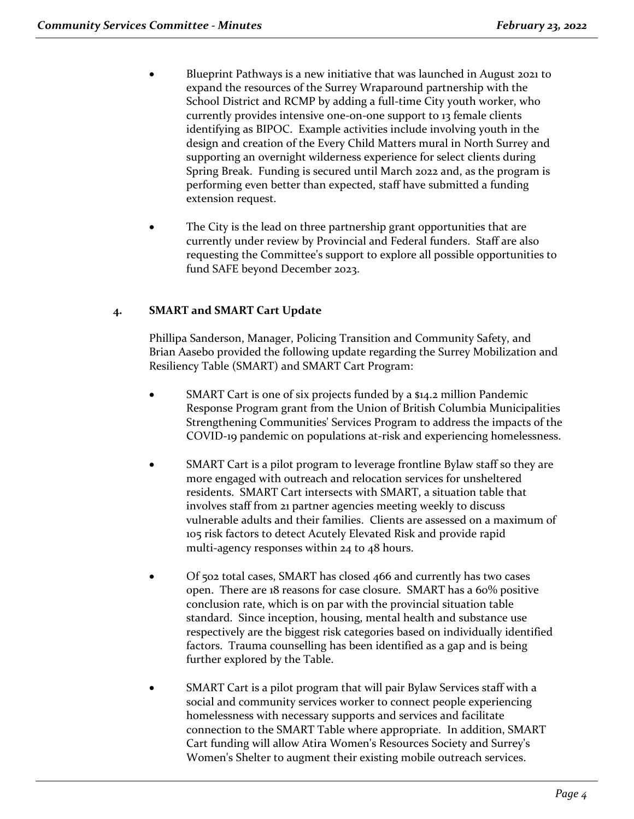- Blueprint Pathways is a new initiative that was launched in August 2021 to expand the resources of the Surrey Wraparound partnership with the School District and RCMP by adding a full-time City youth worker, who currently provides intensive one-on-one support to 13 female clients identifying as BIPOC. Example activities include involving youth in the design and creation of the Every Child Matters mural in North Surrey and supporting an overnight wilderness experience for select clients during Spring Break. Funding is secured until March 2022 and, as the program is performing even better than expected, staff have submitted a funding extension request.
- The City is the lead on three partnership grant opportunities that are currently under review by Provincial and Federal funders. Staff are also requesting the Committee's support to explore all possible opportunities to fund SAFE beyond December 2023.

## **4. SMART and SMART Cart Update**

Phillipa Sanderson, Manager, Policing Transition and Community Safety, and Brian Aasebo provided the following update regarding the Surrey Mobilization and Resiliency Table (SMART) and SMART Cart Program:

- SMART Cart is one of six projects funded by a \$14.2 million Pandemic Response Program grant from the Union of British Columbia Municipalities Strengthening Communities' Services Program to address the impacts of the COVID-19 pandemic on populations at-risk and experiencing homelessness.
- SMART Cart is a pilot program to leverage frontline Bylaw staff so they are more engaged with outreach and relocation services for unsheltered residents. SMART Cart intersects with SMART, a situation table that involves staff from 21 partner agencies meeting weekly to discuss vulnerable adults and their families. Clients are assessed on a maximum of 105 risk factors to detect Acutely Elevated Risk and provide rapid multi-agency responses within 24 to 48 hours.
- Of 502 total cases, SMART has closed 466 and currently has two cases open. There are 18 reasons for case closure. SMART has a 60% positive conclusion rate, which is on par with the provincial situation table standard. Since inception, housing, mental health and substance use respectively are the biggest risk categories based on individually identified factors. Trauma counselling has been identified as a gap and is being further explored by the Table.
- SMART Cart is a pilot program that will pair Bylaw Services staff with a social and community services worker to connect people experiencing homelessness with necessary supports and services and facilitate connection to the SMART Table where appropriate. In addition, SMART Cart funding will allow Atira Women's Resources Society and Surrey's Women's Shelter to augment their existing mobile outreach services.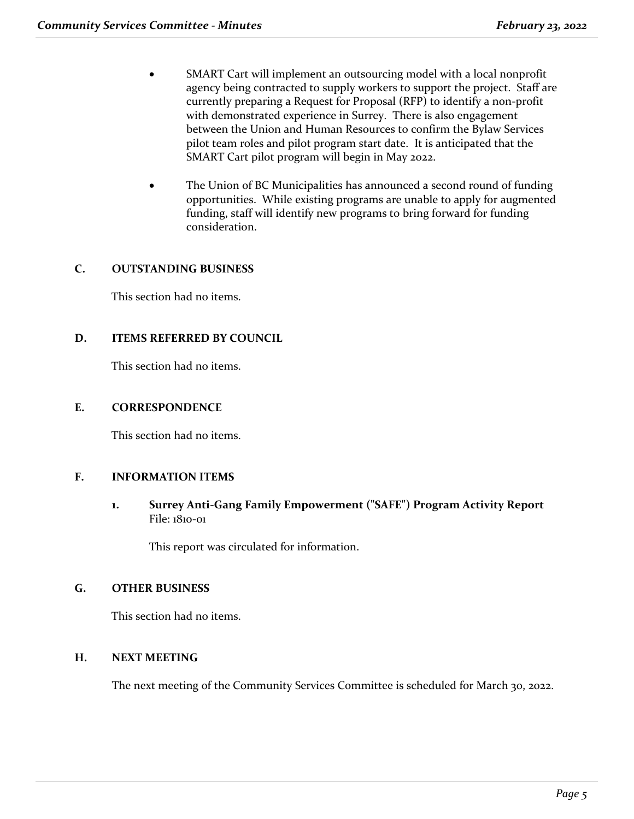- SMART Cart will implement an outsourcing model with a local nonprofit agency being contracted to supply workers to support the project. Staff are currently preparing a Request for Proposal (RFP) to identify a non-profit with demonstrated experience in Surrey. There is also engagement between the Union and Human Resources to confirm the Bylaw Services pilot team roles and pilot program start date. It is anticipated that the SMART Cart pilot program will begin in May 2022.
- The Union of BC Municipalities has announced a second round of funding opportunities. While existing programs are unable to apply for augmented funding, staff will identify new programs to bring forward for funding consideration.

## **C. OUTSTANDING BUSINESS**

This section had no items.

## **D. ITEMS REFERRED BY COUNCIL**

This section had no items.

## **E. CORRESPONDENCE**

This section had no items.

## **F. INFORMATION ITEMS**

**1. Surrey Anti-Gang Family Empowerment ("SAFE") Program Activity Report** File: 1810-01

This report was circulated for information.

## **G. OTHER BUSINESS**

This section had no items.

## **H. NEXT MEETING**

The next meeting of the Community Services Committee is scheduled for March 30, 2022.